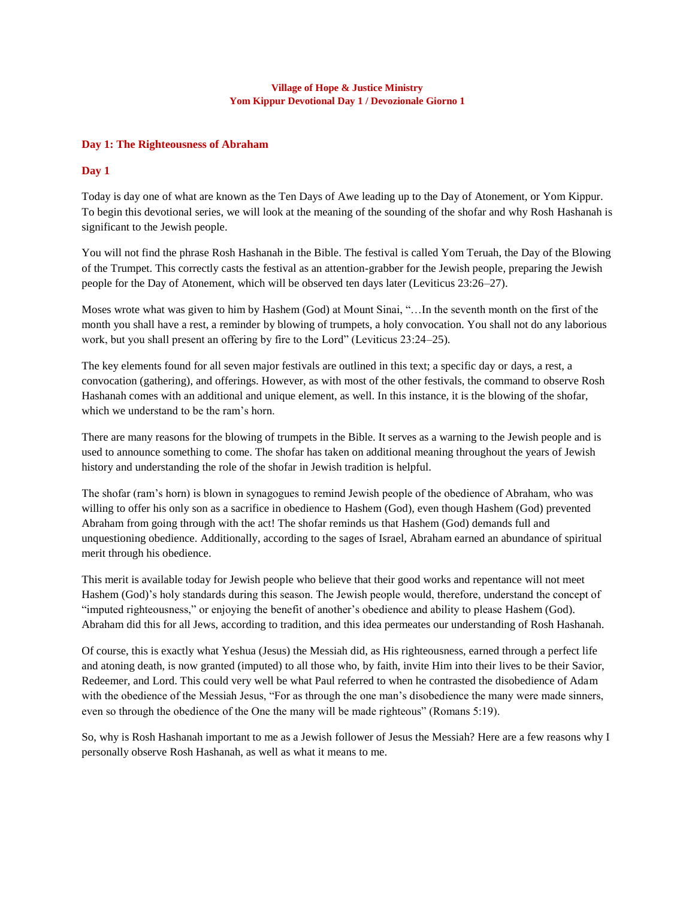### **Village of Hope & Justice Ministry Yom Kippur Devotional Day 1 / Devozionale Giorno 1**

# **Day 1: The Righteousness of Abraham**

## **Day 1**

Today is day one of what are known as the Ten Days of Awe leading up to the Day of Atonement, or Yom Kippur. To begin this devotional series, we will look at the meaning of the sounding of the shofar and why Rosh Hashanah is significant to the Jewish people.

You will not find the phrase Rosh Hashanah in the Bible. The festival is called Yom Teruah, the Day of the Blowing of the Trumpet. This correctly casts the festival as an attention-grabber for the Jewish people, preparing the Jewish people for the Day of Atonement, which will be observed ten days later (Leviticus 23:26–27).

Moses wrote what was given to him by Hashem (God) at Mount Sinai, "…In the seventh month on the first of the month you shall have a rest, a reminder by blowing of trumpets, a holy convocation. You shall not do any laborious work, but you shall present an offering by fire to the Lord" (Leviticus 23:24–25).

The key elements found for all seven major festivals are outlined in this text; a specific day or days, a rest, a convocation (gathering), and offerings. However, as with most of the other festivals, the command to observe Rosh Hashanah comes with an additional and unique element, as well. In this instance, it is the blowing of the shofar, which we understand to be the ram's horn.

There are many reasons for the blowing of trumpets in the Bible. It serves as a warning to the Jewish people and is used to announce something to come. The shofar has taken on additional meaning throughout the years of Jewish history and understanding the role of the shofar in Jewish tradition is helpful.

The shofar (ram's horn) is blown in synagogues to remind Jewish people of the obedience of Abraham, who was willing to offer his only son as a sacrifice in obedience to Hashem (God), even though Hashem (God) prevented Abraham from going through with the act! The shofar reminds us that Hashem (God) demands full and unquestioning obedience. Additionally, according to the sages of Israel, Abraham earned an abundance of spiritual merit through his obedience.

This merit is available today for Jewish people who believe that their good works and repentance will not meet Hashem (God)'s holy standards during this season. The Jewish people would, therefore, understand the concept of "imputed righteousness," or enjoying the benefit of another's obedience and ability to please Hashem (God). Abraham did this for all Jews, according to tradition, and this idea permeates our understanding of Rosh Hashanah.

Of course, this is exactly what Yeshua (Jesus) the Messiah did, as His righteousness, earned through a perfect life and atoning death, is now granted (imputed) to all those who, by faith, invite Him into their lives to be their Savior, Redeemer, and Lord. This could very well be what Paul referred to when he contrasted the disobedience of Adam with the obedience of the Messiah Jesus, "For as through the one man's disobedience the many were made sinners, even so through the obedience of the One the many will be made righteous" (Romans 5:19).

So, why is Rosh Hashanah important to me as a Jewish follower of Jesus the Messiah? Here are a few reasons why I personally observe Rosh Hashanah, as well as what it means to me.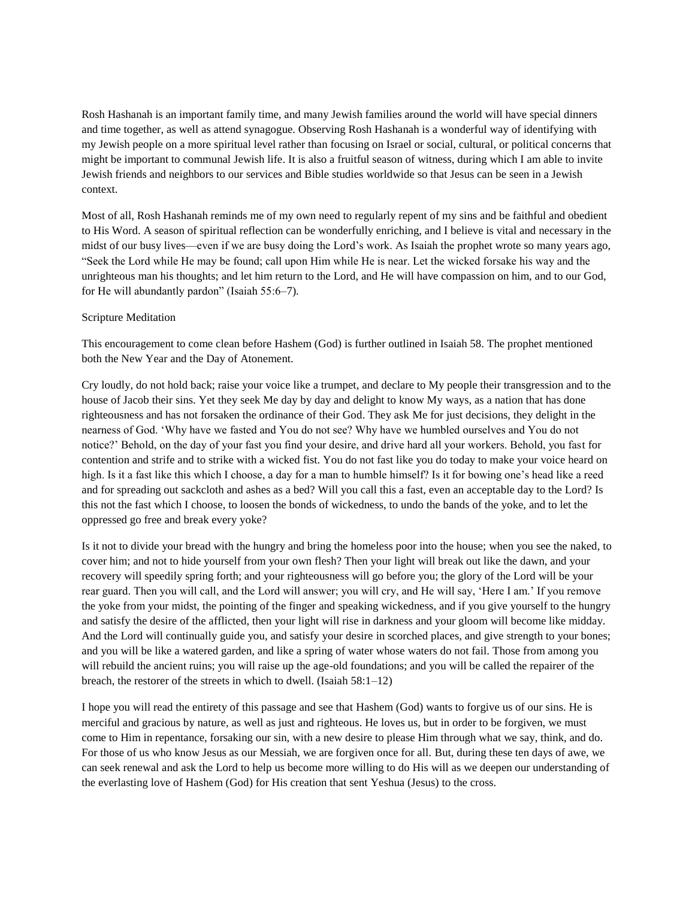Rosh Hashanah is an important family time, and many Jewish families around the world will have special dinners and time together, as well as attend synagogue. Observing Rosh Hashanah is a wonderful way of identifying with my Jewish people on a more spiritual level rather than focusing on Israel or social, cultural, or political concerns that might be important to communal Jewish life. It is also a fruitful season of witness, during which I am able to invite Jewish friends and neighbors to our services and Bible studies worldwide so that Jesus can be seen in a Jewish context.

Most of all, Rosh Hashanah reminds me of my own need to regularly repent of my sins and be faithful and obedient to His Word. A season of spiritual reflection can be wonderfully enriching, and I believe is vital and necessary in the midst of our busy lives—even if we are busy doing the Lord's work. As Isaiah the prophet wrote so many years ago, "Seek the Lord while He may be found; call upon Him while He is near. Let the wicked forsake his way and the unrighteous man his thoughts; and let him return to the Lord, and He will have compassion on him, and to our God, for He will abundantly pardon" (Isaiah 55:6–7).

### Scripture Meditation

This encouragement to come clean before Hashem (God) is further outlined in Isaiah 58. The prophet mentioned both the New Year and the Day of Atonement.

Cry loudly, do not hold back; raise your voice like a trumpet, and declare to My people their transgression and to the house of Jacob their sins. Yet they seek Me day by day and delight to know My ways, as a nation that has done righteousness and has not forsaken the ordinance of their God. They ask Me for just decisions, they delight in the nearness of God. 'Why have we fasted and You do not see? Why have we humbled ourselves and You do not notice?' Behold, on the day of your fast you find your desire, and drive hard all your workers. Behold, you fast for contention and strife and to strike with a wicked fist. You do not fast like you do today to make your voice heard on high. Is it a fast like this which I choose, a day for a man to humble himself? Is it for bowing one's head like a reed and for spreading out sackcloth and ashes as a bed? Will you call this a fast, even an acceptable day to the Lord? Is this not the fast which I choose, to loosen the bonds of wickedness, to undo the bands of the yoke, and to let the oppressed go free and break every yoke?

Is it not to divide your bread with the hungry and bring the homeless poor into the house; when you see the naked, to cover him; and not to hide yourself from your own flesh? Then your light will break out like the dawn, and your recovery will speedily spring forth; and your righteousness will go before you; the glory of the Lord will be your rear guard. Then you will call, and the Lord will answer; you will cry, and He will say, 'Here I am.' If you remove the yoke from your midst, the pointing of the finger and speaking wickedness, and if you give yourself to the hungry and satisfy the desire of the afflicted, then your light will rise in darkness and your gloom will become like midday. And the Lord will continually guide you, and satisfy your desire in scorched places, and give strength to your bones; and you will be like a watered garden, and like a spring of water whose waters do not fail. Those from among you will rebuild the ancient ruins; you will raise up the age-old foundations; and you will be called the repairer of the breach, the restorer of the streets in which to dwell. (Isaiah 58:1–12)

I hope you will read the entirety of this passage and see that Hashem (God) wants to forgive us of our sins. He is merciful and gracious by nature, as well as just and righteous. He loves us, but in order to be forgiven, we must come to Him in repentance, forsaking our sin, with a new desire to please Him through what we say, think, and do. For those of us who know Jesus as our Messiah, we are forgiven once for all. But, during these ten days of awe, we can seek renewal and ask the Lord to help us become more willing to do His will as we deepen our understanding of the everlasting love of Hashem (God) for His creation that sent Yeshua (Jesus) to the cross.